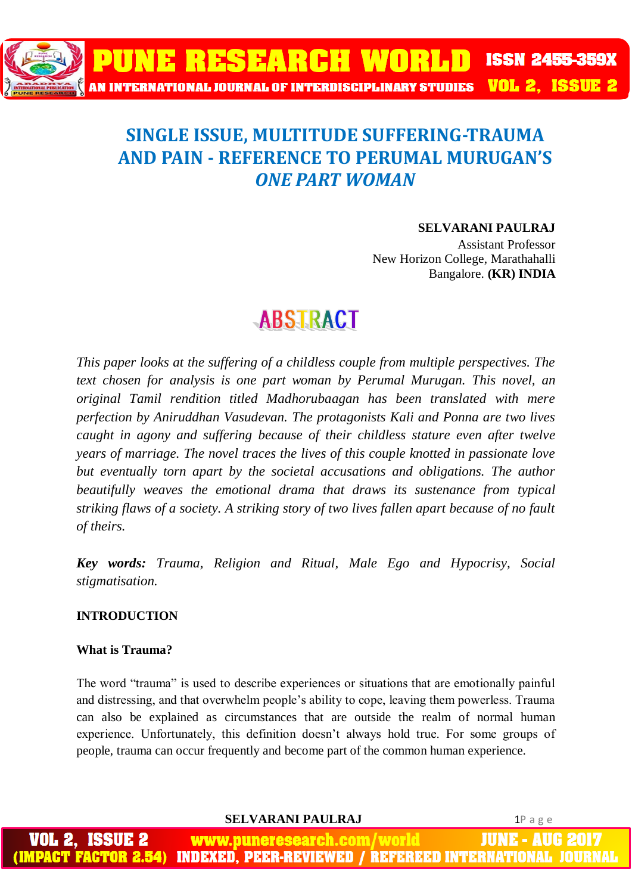

# **SINGLE ISSUE, MULTITUDE SUFFERING-TRAUMA AND PAIN - REFERENCE TO PERUMAL MURUGAN'S**  *ONE PART WOMAN*

## **SELVARANI PAULRAJ**

Assistant Professor New Horizon College, Marathahalli Bangalore. **(KR) INDIA**

# **ABSTRACT**

*This paper looks at the suffering of a childless couple from multiple perspectives. The text chosen for analysis is one part woman by Perumal Murugan. This novel, an original Tamil rendition titled Madhorubaagan has been translated with mere perfection by Aniruddhan Vasudevan. The protagonists Kali and Ponna are two lives caught in agony and suffering because of their childless stature even after twelve years of marriage. The novel traces the lives of this couple knotted in passionate love*  but eventually torn apart by the societal accusations and obligations. The author *beautifully weaves the emotional drama that draws its sustenance from typical striking flaws of a society. A striking story of two lives fallen apart because of no fault of theirs.*

*Key words: Trauma, Religion and Ritual, Male Ego and Hypocrisy, Social stigmatisation.*

## **INTRODUCTION**

## **What is Trauma?**

The word "trauma" is used to describe experiences or situations that are emotionally painful and distressing, and that overwhelm people's ability to cope, leaving them powerless. Trauma can also be explained as circumstances that are outside the realm of normal human experience. Unfortunately, this definition doesn't always hold true. For some groups of people, trauma can occur frequently and become part of the common human experience.

**SELVARANI PAULRAJ** 1P a g e

IUNE www.puneresearch.com/world **INDEXED. PEER-REVIEWED / REFEREED INTERNATIO**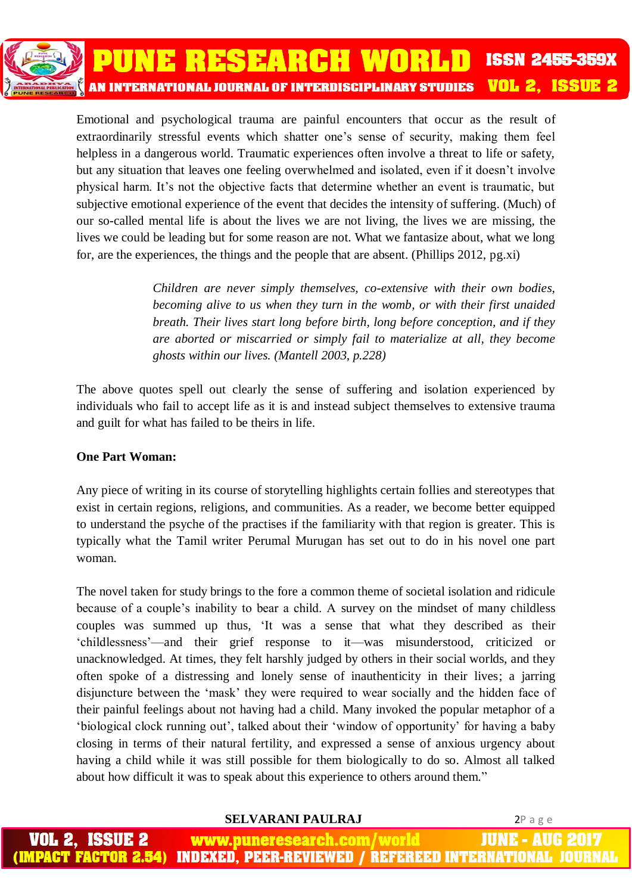Emotional and psychological trauma are painful encounters that occur as the result of extraordinarily stressful events which shatter one's sense of security, making them feel helpless in a dangerous world. Traumatic experiences often involve a threat to life or safety, but any situation that leaves one feeling overwhelmed and isolated, even if it doesn't involve physical harm. It's not the objective facts that determine whether an event is traumatic, but subjective emotional experience of the event that decides the intensity of suffering. (Much) of our so-called mental life is about the lives we are not living, the lives we are missing, the lives we could be leading but for some reason are not. What we fantasize about, what we long for, are the experiences, the things and the people that are absent. (Phillips 2012, pg.xi)

> *Children are never simply themselves, co-extensive with their own bodies, becoming alive to us when they turn in the womb, or with their first unaided breath. Their lives start long before birth, long before conception, and if they are aborted or miscarried or simply fail to materialize at all, they become ghosts within our lives. (Mantell 2003, p.228)*

The above quotes spell out clearly the sense of suffering and isolation experienced by individuals who fail to accept life as it is and instead subject themselves to extensive trauma and guilt for what has failed to be theirs in life.

# **One Part Woman:**

Any piece of writing in its course of storytelling highlights certain follies and stereotypes that exist in certain regions, religions, and communities. As a reader, we become better equipped to understand the psyche of the practises if the familiarity with that region is greater. This is typically what the Tamil writer Perumal Murugan has set out to do in his novel one part woman.

The novel taken for study brings to the fore a common theme of societal isolation and ridicule because of a couple's inability to bear a child. A survey on the mindset of many childless couples was summed up thus, 'It was a sense that what they described as their 'childlessness'—and their grief response to it—was misunderstood, criticized or unacknowledged. At times, they felt harshly judged by others in their social worlds, and they often spoke of a distressing and lonely sense of inauthenticity in their lives; a jarring disjuncture between the 'mask' they were required to wear socially and the hidden face of their painful feelings about not having had a child. Many invoked the popular metaphor of a 'biological clock running out', talked about their 'window of opportunity' for having a baby closing in terms of their natural fertility, and expressed a sense of anxious urgency about having a child while it was still possible for them biologically to do so. Almost all talked about how difficult it was to speak about this experience to others around them."

**SELVARANI PAULRAJ** 2P a g e

JUNE - AUG ISSUE 2 www.puneresearch.com/world **INDEXED, PEER-REVIEWED / REFEREED INTERNATIONAL** MPACT FACTOR 2.54)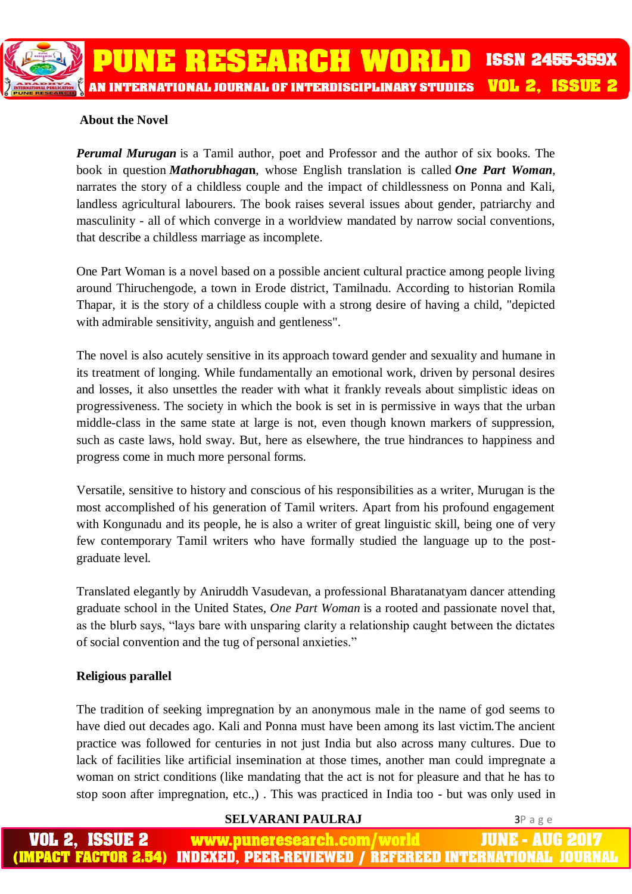# **About the Novel**

*Perumal Murugan* is a Tamil author, poet and Professor and the author of six books. The book in question *Mathorubhaga***n**, whose English translation is called *One Part Woman*, narrates the story of a childless couple and the impact of childlessness on Ponna and Kali, landless agricultural labourers. The book raises several issues about gender, patriarchy and masculinity - all of which converge in a worldview mandated by narrow social conventions, that describe a childless marriage as incomplete.

One Part Woman is a novel based on a possible ancient cultural practice among people living around Thiruchengode, a town in Erode district, Tamilnadu. According to historian Romila Thapar, it is the story of a childless couple with a strong desire of having a child, "depicted with admirable sensitivity, anguish and gentleness".

The novel is also acutely sensitive in its approach toward gender and sexuality and humane in its treatment of longing. While fundamentally an emotional work, driven by personal desires and losses, it also unsettles the reader with what it frankly reveals about simplistic ideas on progressiveness. The society in which the book is set in is permissive in ways that the urban middle-class in the same state at large is not, even though known markers of suppression, such as caste laws, hold sway. But, here as elsewhere, the true hindrances to happiness and progress come in much more personal forms.

Versatile, sensitive to history and conscious of his responsibilities as a writer, Murugan is the most accomplished of his generation of Tamil writers. Apart from his profound engagement with Kongunadu and its people, he is also a writer of great linguistic skill, being one of very few contemporary Tamil writers who have formally studied the language up to the postgraduate level.

Translated elegantly by Aniruddh Vasudevan, a professional Bharatanatyam dancer attending graduate school in the United States, *One Part Woman* is a rooted and passionate novel that, as the blurb says, "lays bare with unsparing clarity a relationship caught between the dictates of social convention and the tug of personal anxieties."

## **Religious parallel**

The tradition of seeking impregnation by an anonymous male in the name of god seems to have died out decades ago. Kali and Ponna must have been among its last victim.The ancient practice was followed for centuries in not just India but also across many cultures. Due to lack of facilities like artificial insemination at those times, another man could impregnate a woman on strict conditions (like mandating that the act is not for pleasure and that he has to stop soon after impregnation, etc.,) . This was practiced in India too - but was only used in

### **SELVARANI PAULRAJ** 3P a g e

**ISSUE 2** www.puneresearch.com/world IUNE -AUH PACT FACTOR 2.54) INDEXED. PEER-REVIEWED / REFEREED INTERNATIONAL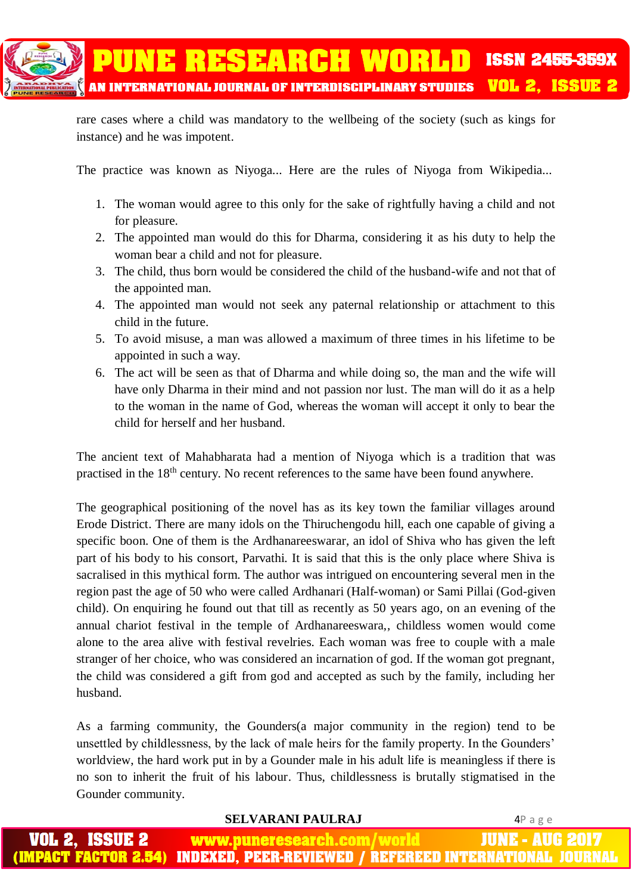

rare cases where a child was mandatory to the wellbeing of the society (such as kings for instance) and he was impotent.

The practice was known as Niyoga... Here are the rules of Niyoga from Wikipedia...

- 1. The woman would agree to this only for the sake of rightfully having a child and not for pleasure.
- 2. The appointed man would do this for Dharma, considering it as his duty to help the woman bear a child and not for pleasure.
- 3. The child, thus born would be considered the child of the husband-wife and not that of the appointed man.
- 4. The appointed man would not seek any paternal relationship or attachment to this child in the future.
- 5. To avoid misuse, a man was allowed a maximum of three times in his lifetime to be appointed in such a way.
- 6. The act will be seen as that of Dharma and while doing so, the man and the wife will have only Dharma in their mind and not passion nor lust. The man will do it as a help to the woman in the name of God, whereas the woman will accept it only to bear the child for herself and her husband.

The ancient text of Mahabharata had a mention of Niyoga which is a tradition that was practised in the 18th century. No recent references to the same have been found anywhere.

The geographical positioning of the novel has as its key town the familiar villages around Erode District. There are many idols on the Thiruchengodu hill, each one capable of giving a specific boon. One of them is the Ardhanareeswarar, an idol of Shiva who has given the left part of his body to his consort, Parvathi. It is said that this is the only place where Shiva is sacralised in this mythical form. The author was intrigued on encountering several men in the region past the age of 50 who were called Ardhanari (Half-woman) or Sami Pillai (God-given child). On enquiring he found out that till as recently as 50 years ago, on an evening of the annual chariot festival in the temple of Ardhanareeswara,, childless women would come alone to the area alive with festival revelries. Each woman was free to couple with a male stranger of her choice, who was considered an incarnation of god. If the woman got pregnant, the child was considered a gift from god and accepted as such by the family, including her husband.

As a farming community, the Gounders(a major community in the region) tend to be unsettled by childlessness, by the lack of male heirs for the family property. In the Gounders' worldview, the hard work put in by a Gounder male in his adult life is meaningless if there is no son to inherit the fruit of his labour. Thus, childlessness is brutally stigmatised in the Gounder community.

**SELVARANI PAULRAJ** 4P a g e ISSUE 2 www.puneresearch.com/world **JUNE - AUG IMPACT FACTOR 2.54) INDEXED. PEER-REVIEWED / REFEREED INTERNATIONAL**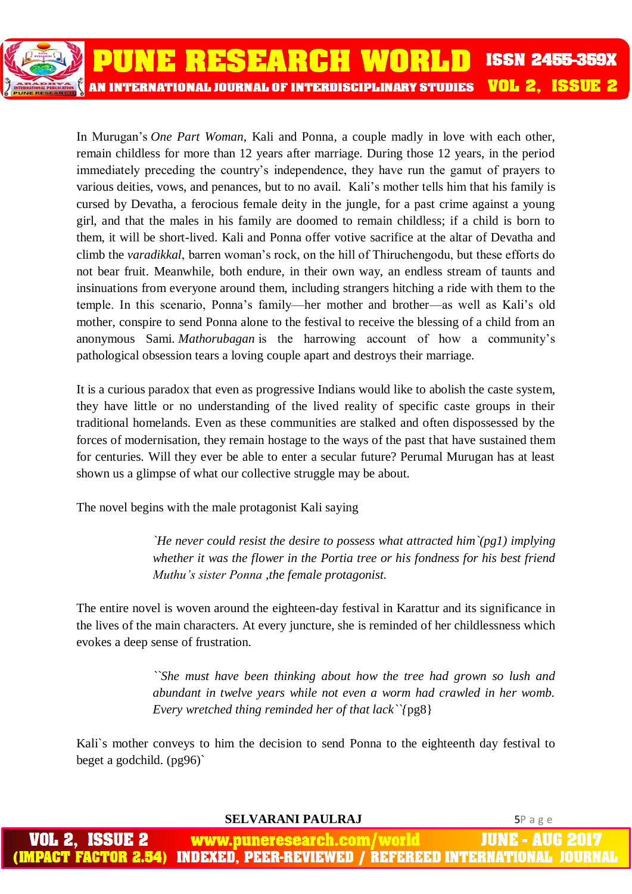

In Murugan's *One Part Woman*, Kali and Ponna, a couple madly in love with each other, remain childless for more than 12 years after marriage. During those 12 years, in the period immediately preceding the country's independence, they have run the gamut of prayers to various deities, vows, and penances, but to no avail. Kali's mother tells him that his family is cursed by Devatha, a ferocious female deity in the jungle, for a past crime against a young girl, and that the males in his family are doomed to remain childless; if a child is born to them, it will be short-lived. Kali and Ponna offer votive sacrifice at the altar of Devatha and climb the *varadikkal*, barren woman's rock, on the hill of Thiruchengodu, but these efforts do not bear fruit. Meanwhile, both endure, in their own way, an endless stream of taunts and insinuations from everyone around them, including strangers hitching a ride with them to the temple. In this scenario, Ponna's family—her mother and brother—as well as Kali's old mother, conspire to send Ponna alone to the festival to receive the blessing of a child from an anonymous Sami. *Mathorubagan* is the harrowing account of how a community's pathological obsession tears a loving couple apart and destroys their marriage.

It is a curious paradox that even as progressive Indians would like to abolish the caste system, they have little or no understanding of the lived reality of specific caste groups in their traditional homelands. Even as these communities are stalked and often dispossessed by the forces of modernisation, they remain hostage to the ways of the past that have sustained them for centuries. Will they ever be able to enter a secular future? Perumal Murugan has at least shown us a glimpse of what our collective struggle may be about.

The novel begins with the male protagonist Kali saying

*`He never could resist the desire to possess what attracted him`(pg1) implying whether it was the flower in the Portia tree or his fondness for his best friend Muthu's sister Ponna ,the female protagonist.*

The entire novel is woven around the eighteen-day festival in Karattur and its significance in the lives of the main characters. At every juncture, she is reminded of her childlessness which evokes a deep sense of frustration.

> *``She must have been thinking about how the tree had grown so lush and abundant in twelve years while not even a worm had crawled in her womb. Every wretched thing reminded her of that lack``{*pg8}

Kali`s mother conveys to him the decision to send Ponna to the eighteenth day festival to beget a godchild. (pg96)`

**SELVARANI PAULRAJ** 5P a g e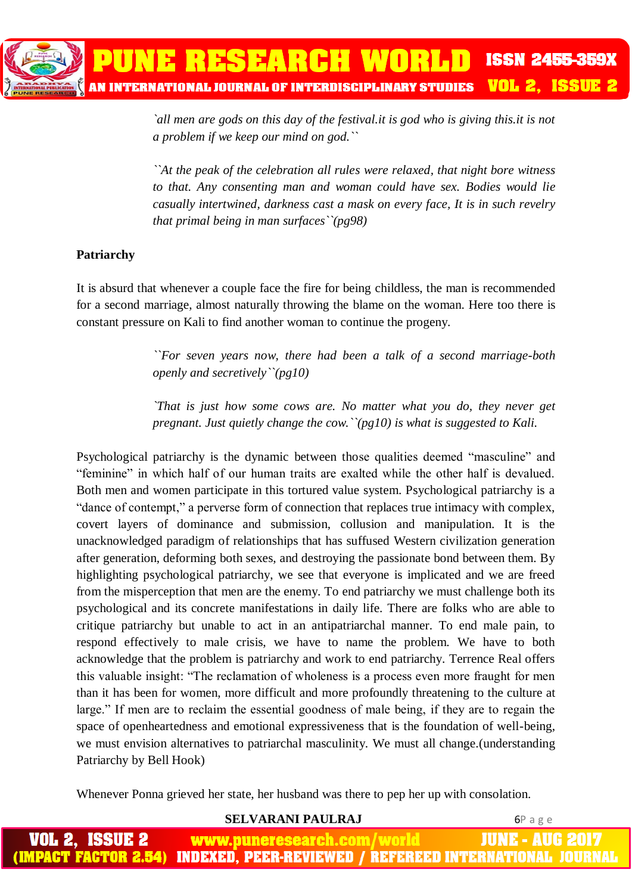*`all men are gods on this day of the festival.it is god who is giving this.it is not a problem if we keep our mind on god.``*

*``At the peak of the celebration all rules were relaxed, that night bore witness to that. Any consenting man and woman could have sex. Bodies would lie casually intertwined, darkness cast a mask on every face, It is in such revelry that primal being in man surfaces``(pg98)*

# **Patriarchy**

It is absurd that whenever a couple face the fire for being childless, the man is recommended for a second marriage, almost naturally throwing the blame on the woman. Here too there is constant pressure on Kali to find another woman to continue the progeny.

> *``For seven years now, there had been a talk of a second marriage-both openly and secretively``(pg10)*

> *`That is just how some cows are. No matter what you do, they never get pregnant. Just quietly change the cow.``(pg10) is what is suggested to Kali.*

Psychological patriarchy is the dynamic between those qualities deemed "masculine" and "feminine" in which half of our human traits are exalted while the other half is devalued. Both men and women participate in this tortured value system. Psychological patriarchy is a "dance of contempt," a perverse form of connection that replaces true intimacy with complex, covert layers of dominance and submission, collusion and manipulation. It is the unacknowledged paradigm of relationships that has suffused Western civilization generation after generation, deforming both sexes, and destroying the passionate bond between them. By highlighting psychological patriarchy, we see that everyone is implicated and we are freed from the misperception that men are the enemy. To end patriarchy we must challenge both its psychological and its concrete manifestations in daily life. There are folks who are able to critique patriarchy but unable to act in an antipatriarchal manner. To end male pain, to respond effectively to male crisis, we have to name the problem. We have to both acknowledge that the problem is patriarchy and work to end patriarchy. Terrence Real offers this valuable insight: "The reclamation of wholeness is a process even more fraught for men than it has been for women, more difficult and more profoundly threatening to the culture at large." If men are to reclaim the essential goodness of male being, if they are to regain the space of openheartedness and emotional expressiveness that is the foundation of well-being, we must envision alternatives to patriarchal masculinity. We must all change.(understanding Patriarchy by Bell Hook)

Whenever Ponna grieved her state, her husband was there to pep her up with consolation.

#### **SELVARANI PAULRAJ** 6P a g e www.puneresearch.com/world IUNE - AUG MPACT FACTOR 2.54) INDEXED. PEER-REVIEWED / REFEREED INTERNATIONAL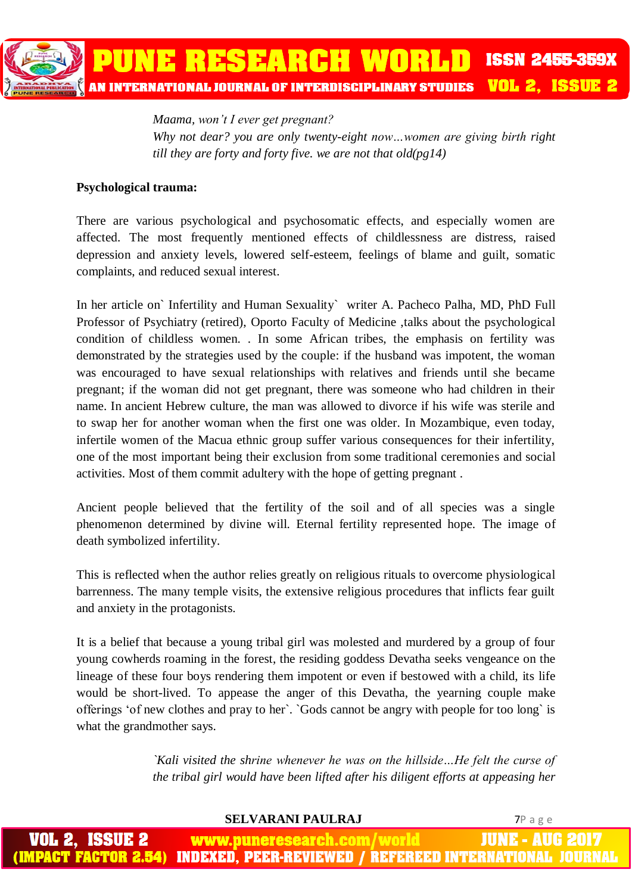*Maama, won't I ever get pregnant? Why not dear? you are only twenty-eight now…women are giving birth right till they are forty and forty five. we are not that old(pg14)*

### **Psychological trauma:**

There are various psychological and psychosomatic effects, and especially women are affected. The most frequently mentioned effects of childlessness are distress, raised depression and anxiety levels, lowered self-esteem, feelings of blame and guilt, somatic complaints, and reduced sexual interest.

In her article on` Infertility and Human Sexuality` writer A. Pacheco Palha, MD, PhD Full Professor of Psychiatry (retired), Oporto Faculty of Medicine ,talks about the psychological condition of childless women. . In some African tribes, the emphasis on fertility was demonstrated by the strategies used by the couple: if the husband was impotent, the woman was encouraged to have sexual relationships with relatives and friends until she became pregnant; if the woman did not get pregnant, there was someone who had children in their name. In ancient Hebrew culture, the man was allowed to divorce if his wife was sterile and to swap her for another woman when the first one was older. In Mozambique, even today, infertile women of the Macua ethnic group suffer various consequences for their infertility, one of the most important being their exclusion from some traditional ceremonies and social activities. Most of them commit adultery with the hope of getting pregnant .

Ancient people believed that the fertility of the soil and of all species was a single phenomenon determined by divine will. Eternal fertility represented hope. The image of death symbolized infertility.

This is reflected when the author relies greatly on religious rituals to overcome physiological barrenness. The many temple visits, the extensive religious procedures that inflicts fear guilt and anxiety in the protagonists.

It is a belief that because a young tribal girl was molested and murdered by a group of four young cowherds roaming in the forest, the residing goddess Devatha seeks vengeance on the lineage of these four boys rendering them impotent or even if bestowed with a child, its life would be short-lived. To appease the anger of this Devatha, the yearning couple make offerings 'of new clothes and pray to her`. `Gods cannot be angry with people for too long` is what the grandmother says.

> *`Kali visited the shrine whenever he was on the hillside…He felt the curse of the tribal girl would have been lifted after his diligent efforts at appeasing her*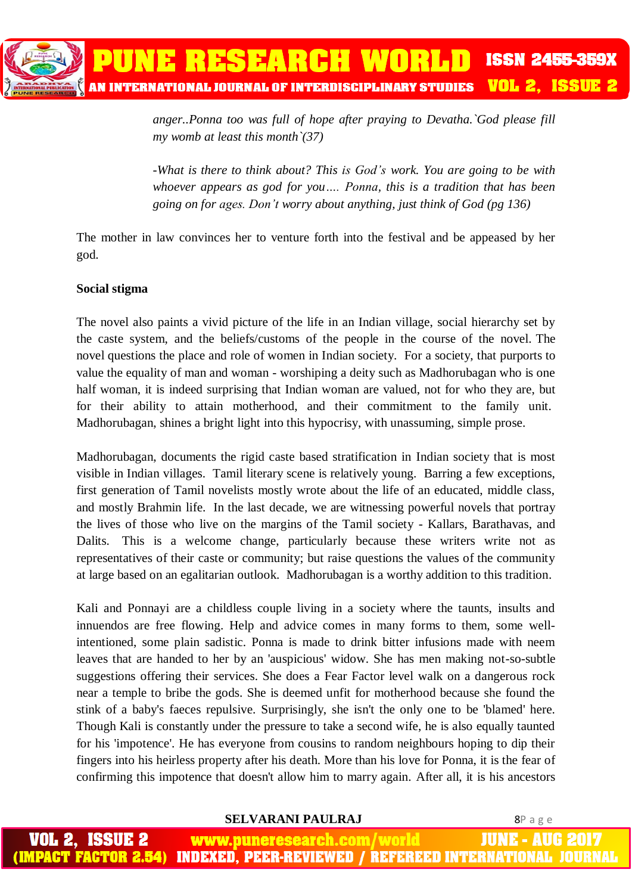*anger..Ponna too was full of hope after praying to Devatha.`God please fill my womb at least this month`(37)*

*-What is there to think about? This is God's work. You are going to be with whoever appears as god for you…. Ponna, this is a tradition that has been going on for ages. Don't worry about anything, just think of God (pg 136)*

The mother in law convinces her to venture forth into the festival and be appeased by her god.

## **Social stigma**

The novel also paints a vivid picture of the life in an Indian village, social hierarchy set by the caste system, and the beliefs/customs of the people in the course of the novel. The novel questions the place and role of women in Indian society. For a society, that purports to value the equality of man and woman - worshiping a deity such as Madhorubagan who is one half woman, it is indeed surprising that Indian woman are valued, not for who they are, but for their ability to attain motherhood, and their commitment to the family unit. Madhorubagan, shines a bright light into this hypocrisy, with unassuming, simple prose.

Madhorubagan, documents the rigid caste based stratification in Indian society that is most visible in Indian villages. Tamil literary scene is relatively young. Barring a few exceptions, first generation of Tamil novelists mostly wrote about the life of an educated, middle class, and mostly Brahmin life. In the last decade, we are witnessing powerful novels that portray the lives of those who live on the margins of the Tamil society - Kallars, Barathavas, and Dalits. This is a welcome change, particularly because these writers write not as representatives of their caste or community; but raise questions the values of the community at large based on an egalitarian outlook. Madhorubagan is a worthy addition to this tradition.

Kali and Ponnayi are a childless couple living in a society where the taunts, insults and innuendos are free flowing. Help and advice comes in many forms to them, some wellintentioned, some plain sadistic. Ponna is made to drink bitter infusions made with neem leaves that are handed to her by an 'auspicious' widow. She has men making not-so-subtle suggestions offering their services. She does a Fear Factor level walk on a dangerous rock near a temple to bribe the gods. She is deemed unfit for motherhood because she found the stink of a baby's faeces repulsive. Surprisingly, she isn't the only one to be 'blamed' here. Though Kali is constantly under the pressure to take a second wife, he is also equally taunted for his 'impotence'. He has everyone from cousins to random neighbours hoping to dip their fingers into his heirless property after his death. More than his love for Ponna, it is the fear of confirming this impotence that doesn't allow him to marry again. After all, it is his ancestors

### **SELVARANI PAULRAJ** 8P a g e

JUNE - AUG ISSUE 2 www.puneresearch.com/world **INDEXED, PEER-REVIEWED / REFEREED INTERNATIONAL** (1998) FACTOR 2.54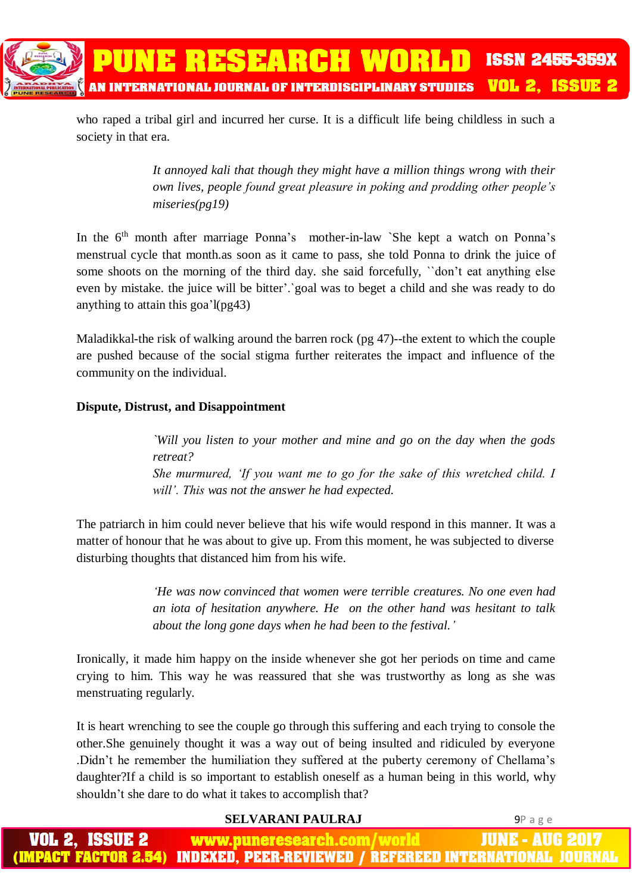

who raped a tribal girl and incurred her curse. It is a difficult life being childless in such a society in that era.

> *It annoyed kali that though they might have a million things wrong with their own lives, people found great pleasure in poking and prodding other people's miseries(pg19)*

In the  $6<sup>th</sup>$  month after marriage Ponna's mother-in-law `She kept a watch on Ponna's menstrual cycle that month.as soon as it came to pass, she told Ponna to drink the juice of some shoots on the morning of the third day. she said forcefully, "don't eat anything else even by mistake. the juice will be bitter'.`goal was to beget a child and she was ready to do anything to attain this goa'l(pg43)

Maladikkal-the risk of walking around the barren rock (pg 47)--the extent to which the couple are pushed because of the social stigma further reiterates the impact and influence of the community on the individual.

## **Dispute, Distrust, and Disappointment**

*`Will you listen to your mother and mine and go on the day when the gods retreat? She murmured, 'If you want me to go for the sake of this wretched child. I will'. This was not the answer he had expected.*

The patriarch in him could never believe that his wife would respond in this manner. It was a matter of honour that he was about to give up. From this moment, he was subjected to diverse disturbing thoughts that distanced him from his wife.

> *'He was now convinced that women were terrible creatures. No one even had an iota of hesitation anywhere. He on the other hand was hesitant to talk about the long gone days when he had been to the festival.'*

Ironically, it made him happy on the inside whenever she got her periods on time and came crying to him. This way he was reassured that she was trustworthy as long as she was menstruating regularly.

It is heart wrenching to see the couple go through this suffering and each trying to console the other.She genuinely thought it was a way out of being insulted and ridiculed by everyone .Didn't he remember the humiliation they suffered at the puberty ceremony of Chellama's daughter?If a child is so important to establish oneself as a human being in this world, why shouldn't she dare to do what it takes to accomplish that?

### **SELVARANI PAULRAJ** 9P a g e

| <b>VOL 2, ISSUE 2</b> | <b>WWW.puneresearch.com/world</b> | <b>/ JUNE - AUG 2017 <i>A</i></b>                                            |
|-----------------------|-----------------------------------|------------------------------------------------------------------------------|
|                       |                                   | (IMPACT FACTOR 2.54) INDEXED, PEER-REVIEWED / REFEREED INTERNATIONAL JOURNAL |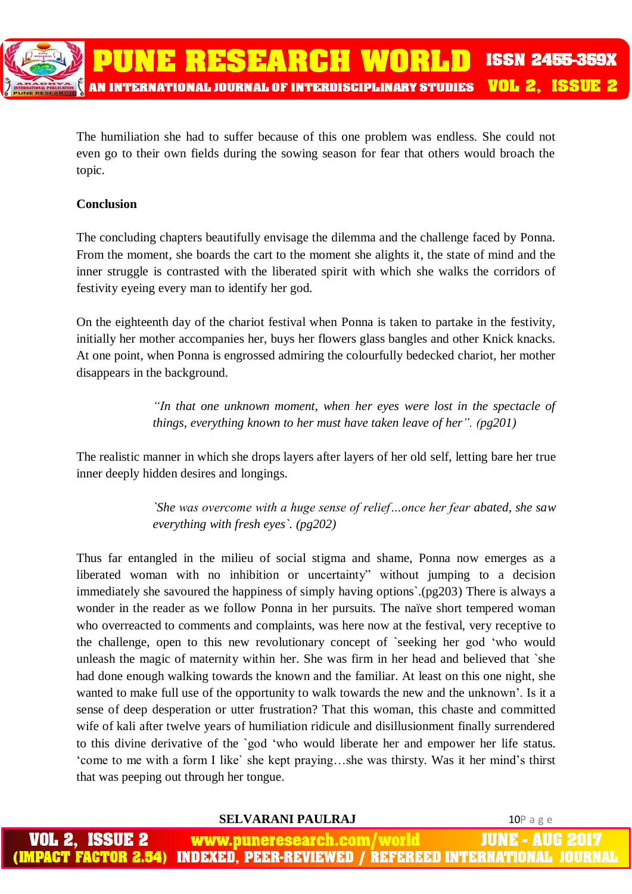

The humiliation she had to suffer because of this one problem was endless. She could not even go to their own fields during the sowing season for fear that others would broach the topic.

### **Conclusion**

The concluding chapters beautifully envisage the dilemma and the challenge faced by Ponna. From the moment, she boards the cart to the moment she alights it, the state of mind and the inner struggle is contrasted with the liberated spirit with which she walks the corridors of festivity eyeing every man to identify her god.

On the eighteenth day of the chariot festival when Ponna is taken to partake in the festivity, initially her mother accompanies her, buys her flowers glass bangles and other Knick knacks. At one point, when Ponna is engrossed admiring the colourfully bedecked chariot, her mother disappears in the background.

> *"In that one unknown moment, when her eyes were lost in the spectacle of things, everything known to her must have taken leave of her". (pg201)*

The realistic manner in which she drops layers after layers of her old self, letting bare her true inner deeply hidden desires and longings.

> *`She was overcome with a huge sense of relief…once her fear abated, she saw everything with fresh eyes`. (pg202)*

Thus far entangled in the milieu of social stigma and shame, Ponna now emerges as a liberated woman with no inhibition or uncertainty" without jumping to a decision immediately she savoured the happiness of simply having options`.(pg203) There is always a wonder in the reader as we follow Ponna in her pursuits. The naïve short tempered woman who overreacted to comments and complaints, was here now at the festival, very receptive to the challenge, open to this new revolutionary concept of `seeking her god 'who would unleash the magic of maternity within her. She was firm in her head and believed that `she had done enough walking towards the known and the familiar. At least on this one night, she wanted to make full use of the opportunity to walk towards the new and the unknown'. Is it a sense of deep desperation or utter frustration? That this woman, this chaste and committed wife of kali after twelve years of humiliation ridicule and disillusionment finally surrendered to this divine derivative of the `god 'who would liberate her and empower her life status. 'come to me with a form I like` she kept praying…she was thirsty. Was it her mind's thirst that was peeping out through her tongue.

**SELVARANI PAULRAJ** 10P a g e

www.puneresearch.com/world ACT FACTOR 2.54) INDEXED. PEER-REVIEWED / REFEREED INTERNATIONAL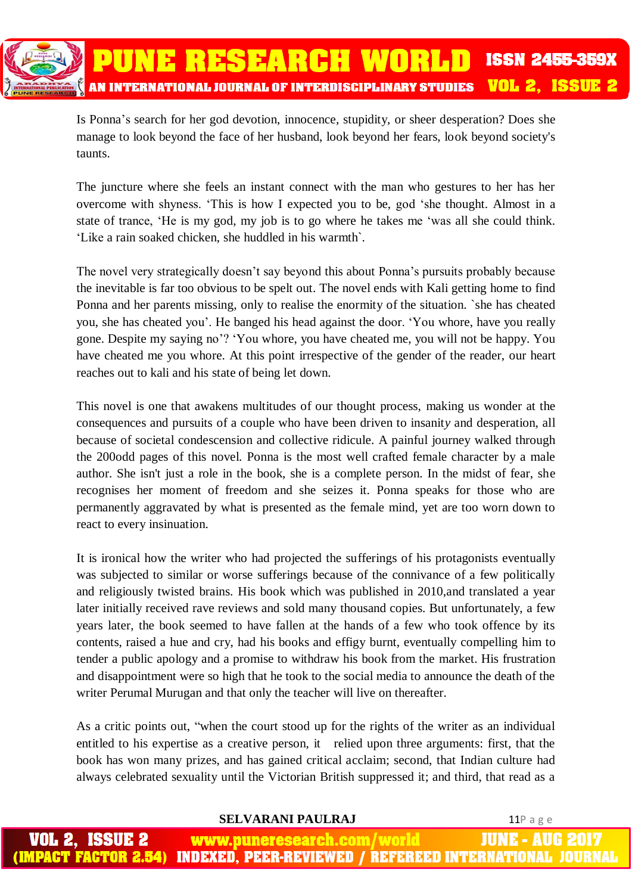**PUNE RESEARCH WORLD ISSN 2455-359X VOL 2. ISSUE 2** AN INTERNATIONAL JOURNAL OF INTERDISCIPLINARY STUDIES

> Is Ponna's search for her god devotion, innocence, stupidity, or sheer desperation? Does she manage to look beyond the face of her husband, look beyond her fears, look beyond society's taunts.

> The juncture where she feels an instant connect with the man who gestures to her has her overcome with shyness. 'This is how I expected you to be, god 'she thought. Almost in a state of trance, 'He is my god, my job is to go where he takes me 'was all she could think. 'Like a rain soaked chicken, she huddled in his warmth`.

> The novel very strategically doesn't say beyond this about Ponna's pursuits probably because the inevitable is far too obvious to be spelt out. The novel ends with Kali getting home to find Ponna and her parents missing, only to realise the enormity of the situation. `she has cheated you, she has cheated you'. He banged his head against the door. 'You whore, have you really gone. Despite my saying no'? 'You whore, you have cheated me, you will not be happy. You have cheated me you whore. At this point irrespective of the gender of the reader, our heart reaches out to kali and his state of being let down.

> This novel is one that awakens multitudes of our thought process, making us wonder at the consequences and pursuits of a couple who have been driven to insanit*y* and desperation, all because of societal condescension and collective ridicule. A painful journey walked through the 200odd pages of this novel. Ponna is the most well crafted female character by a male author. She isn't just a role in the book, she is a complete person. In the midst of fear, she recognises her moment of freedom and she seizes it. Ponna speaks for those who are permanently aggravated by what is presented as the female mind, yet are too worn down to react to every insinuation.

> It is ironical how the writer who had projected the sufferings of his protagonists eventually was subjected to similar or worse sufferings because of the connivance of a few politically and religiously twisted brains. His book which was published in 2010,and translated a year later initially received rave reviews and sold many thousand copies. But unfortunately, a few years later, the book seemed to have fallen at the hands of a few who took offence by its contents, raised a hue and cry, had his books and effigy burnt, eventually compelling him to tender a public apology and a promise to withdraw his book from the market. His frustration and disappointment were so high that he took to the social media to announce the death of the writer Perumal Murugan and that only the teacher will live on thereafter.

> As a critic points out, "when the court stood up for the rights of the writer as an individual entitled to his expertise as a creative person, it relied upon three arguments: first, that the book has won many prizes, and has gained critical acclaim; second, that Indian culture had always celebrated sexuality until the Victorian British suppressed it; and third, that read as a

#### **SELVARANI PAULRAJ** 11P a g e ISSUE 2 www.puneresearch.com/world IUNE - AU ACT FACTOR 2 INDEXED. PEER-REVIEWED / REFEREED INTERNATIONAL